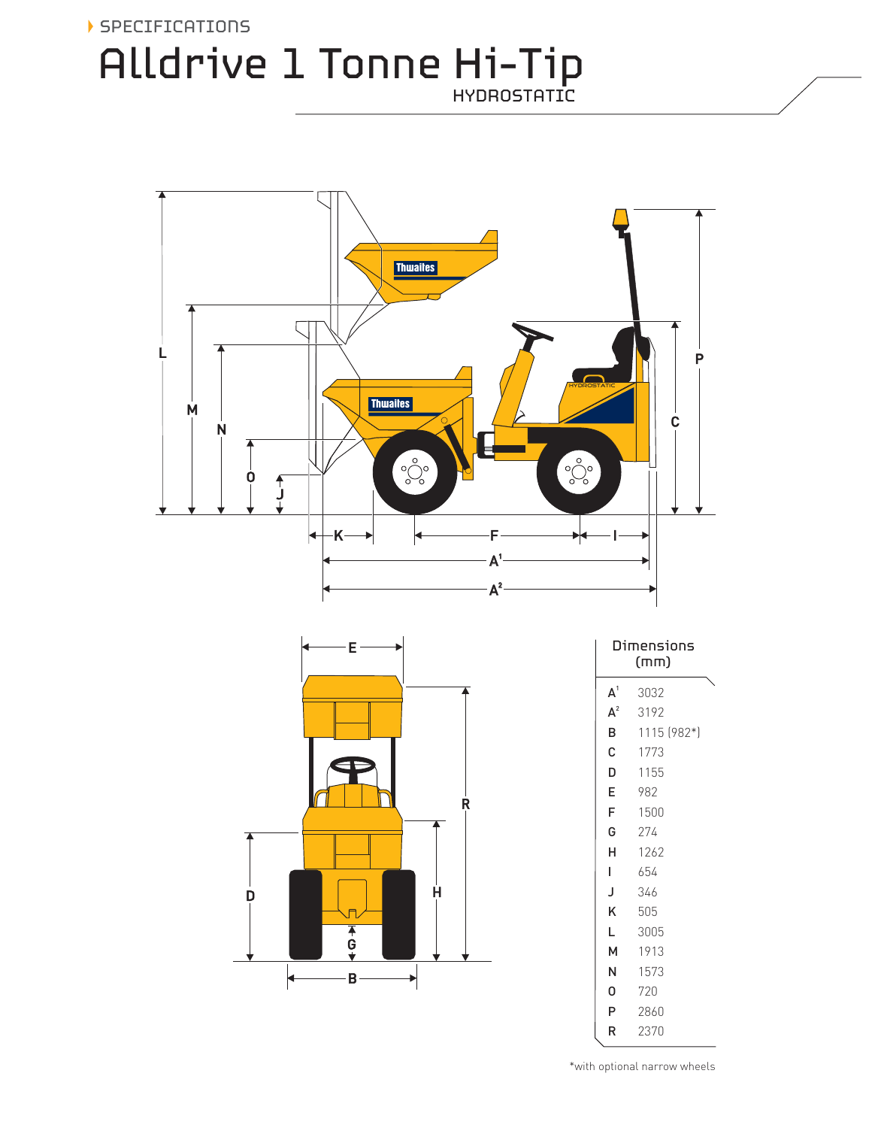## SPECIFICATIONS Alldrive 1 Tonne Hi-Tip HYDROSTATIC



\*with optional narrow wheels